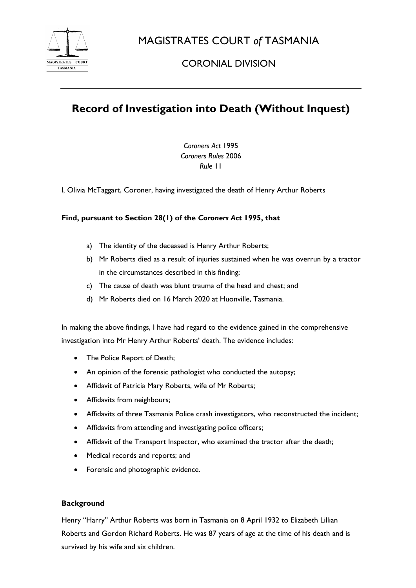

MAGISTRATES COURT *of* TASMANIA

## CORONIAL DIVISION

# **Record of Investigation into Death (Without Inquest)**

*Coroners Act* 1995 *Coroners Rules* 2006 *Rule* 11

I, Olivia McTaggart, Coroner, having investigated the death of Henry Arthur Roberts

### **Find, pursuant to Section 28(1) of the** *Coroners Act* **1995, that**

- a) The identity of the deceased is Henry Arthur Roberts;
- b) Mr Roberts died as a result of injuries sustained when he was overrun by a tractor in the circumstances described in this finding;
- c) The cause of death was blunt trauma of the head and chest; and
- d) Mr Roberts died on 16 March 2020 at Huonville, Tasmania.

In making the above findings, I have had regard to the evidence gained in the comprehensive investigation into Mr Henry Arthur Roberts' death. The evidence includes:

- The Police Report of Death;
- An opinion of the forensic pathologist who conducted the autopsy;
- Affidavit of Patricia Mary Roberts, wife of Mr Roberts;
- Affidavits from neighbours;
- Affidavits of three Tasmania Police crash investigators, who reconstructed the incident;
- Affidavits from attending and investigating police officers;
- Affidavit of the Transport Inspector, who examined the tractor after the death;
- Medical records and reports; and
- Forensic and photographic evidence.

#### **Background**

Henry "Harry" Arthur Roberts was born in Tasmania on 8 April 1932 to Elizabeth Lillian Roberts and Gordon Richard Roberts. He was 87 years of age at the time of his death and is survived by his wife and six children.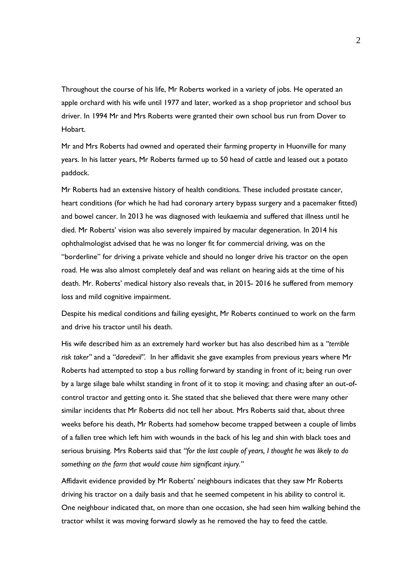Throughout the course of his life, Mr Roberts worked in a variety of jobs. He operated an apple orchard with his wife until 1977 and later, worked as a shop proprietor and school bus driver. In 1994 Mr and Mrs Roberts were granted their own school bus run from Dover to Hobart.

Mr and Mrs Roberts had owned and operated their farming property in Huonville for many years. In his latter years, Mr Roberts farmed up to 50 head of cattle and leased out a potato paddock.

Mr Roberts had an extensive history of health conditions. These included prostate cancer, heart conditions (for which he had had coronary artery bypass surgery and a pacemaker fitted) and bowel cancer. In 2013 he was diagnosed with leukaemia and suffered that illness until he died. Mr Roberts' vision was also severely impaired by macular degeneration. In 2014 his ophthalmologist advised that he was no longer fit for commercial driving, was on the "borderline" for driving a private vehicle and should no longer drive his tractor on the open road. He was also almost completely deaf and was reliant on hearing aids at the time of his death. Mr. Roberts' medical history also reveals that, in 2015- 2016 he suffered from memory loss and mild cognitive impairment.

Despite his medical conditions and failing eyesight, Mr Roberts continued to work on the farm and drive his tractor until his death.

His wife described him as an extremely hard worker but has also described him as a *"terrible risk taker"* and a *"daredevil".* In her affidavit she gave examples from previous years where Mr Roberts had attempted to stop a bus rolling forward by standing in front of it; being run over by a large silage bale whilst standing in front of it to stop it moving; and chasing after an out-ofcontrol tractor and getting onto it. She stated that she believed that there were many other similar incidents that Mr Roberts did not tell her about. Mrs Roberts said that, about three weeks before his death, Mr Roberts had somehow become trapped between a couple of limbs of a fallen tree which left him with wounds in the back of his leg and shin with black toes and serious bruising. Mrs Roberts said that *"for the last couple of years, I thought he was likely to do something on the farm that would cause him significant injury."*

Affidavit evidence provided by Mr Roberts' neighbours indicates that they saw Mr Roberts driving his tractor on a daily basis and that he seemed competent in his ability to control it. One neighbour indicated that, on more than one occasion, she had seen him walking behind the tractor whilst it was moving forward slowly as he removed the hay to feed the cattle.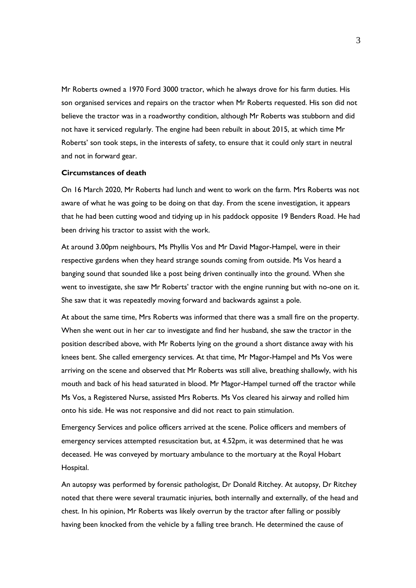Mr Roberts owned a 1970 Ford 3000 tractor, which he always drove for his farm duties. His son organised services and repairs on the tractor when Mr Roberts requested. His son did not believe the tractor was in a roadworthy condition, although Mr Roberts was stubborn and did not have it serviced regularly. The engine had been rebuilt in about 2015, at which time Mr Roberts' son took steps, in the interests of safety, to ensure that it could only start in neutral and not in forward gear.

#### **Circumstances of death**

On 16 March 2020, Mr Roberts had lunch and went to work on the farm. Mrs Roberts was not aware of what he was going to be doing on that day. From the scene investigation, it appears that he had been cutting wood and tidying up in his paddock opposite 19 Benders Road. He had been driving his tractor to assist with the work.

At around 3.00pm neighbours, Ms Phyllis Vos and Mr David Magor-Hampel, were in their respective gardens when they heard strange sounds coming from outside. Ms Vos heard a banging sound that sounded like a post being driven continually into the ground. When she went to investigate, she saw Mr Roberts' tractor with the engine running but with no-one on it. She saw that it was repeatedly moving forward and backwards against a pole.

At about the same time, Mrs Roberts was informed that there was a small fire on the property. When she went out in her car to investigate and find her husband, she saw the tractor in the position described above, with Mr Roberts lying on the ground a short distance away with his knees bent. She called emergency services. At that time, Mr Magor-Hampel and Ms Vos were arriving on the scene and observed that Mr Roberts was still alive, breathing shallowly, with his mouth and back of his head saturated in blood. Mr Magor-Hampel turned off the tractor while Ms Vos, a Registered Nurse, assisted Mrs Roberts. Ms Vos cleared his airway and rolled him onto his side. He was not responsive and did not react to pain stimulation.

Emergency Services and police officers arrived at the scene. Police officers and members of emergency services attempted resuscitation but, at 4.52pm, it was determined that he was deceased. He was conveyed by mortuary ambulance to the mortuary at the Royal Hobart Hospital.

An autopsy was performed by forensic pathologist, Dr Donald Ritchey. At autopsy, Dr Ritchey noted that there were several traumatic injuries, both internally and externally, of the head and chest. In his opinion, Mr Roberts was likely overrun by the tractor after falling or possibly having been knocked from the vehicle by a falling tree branch. He determined the cause of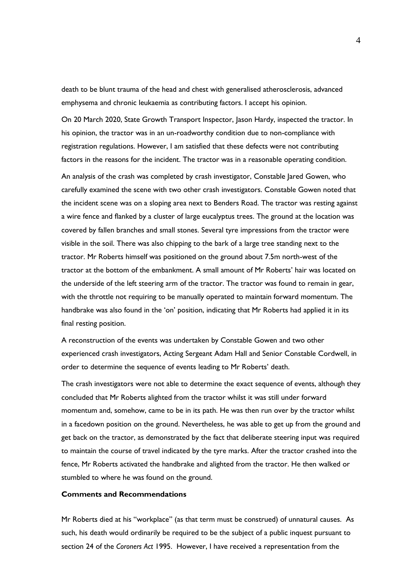death to be blunt trauma of the head and chest with generalised atherosclerosis, advanced emphysema and chronic leukaemia as contributing factors. I accept his opinion.

On 20 March 2020, State Growth Transport Inspector, Jason Hardy, inspected the tractor. In his opinion, the tractor was in an un-roadworthy condition due to non-compliance with registration regulations. However, I am satisfied that these defects were not contributing factors in the reasons for the incident. The tractor was in a reasonable operating condition.

An analysis of the crash was completed by crash investigator, Constable Jared Gowen, who carefully examined the scene with two other crash investigators. Constable Gowen noted that the incident scene was on a sloping area next to Benders Road. The tractor was resting against a wire fence and flanked by a cluster of large eucalyptus trees. The ground at the location was covered by fallen branches and small stones. Several tyre impressions from the tractor were visible in the soil. There was also chipping to the bark of a large tree standing next to the tractor. Mr Roberts himself was positioned on the ground about 7.5m north-west of the tractor at the bottom of the embankment. A small amount of Mr Roberts' hair was located on the underside of the left steering arm of the tractor. The tractor was found to remain in gear, with the throttle not requiring to be manually operated to maintain forward momentum. The handbrake was also found in the 'on' position, indicating that Mr Roberts had applied it in its final resting position.

A reconstruction of the events was undertaken by Constable Gowen and two other experienced crash investigators, Acting Sergeant Adam Hall and Senior Constable Cordwell, in order to determine the sequence of events leading to Mr Roberts' death.

The crash investigators were not able to determine the exact sequence of events, although they concluded that Mr Roberts alighted from the tractor whilst it was still under forward momentum and, somehow, came to be in its path. He was then run over by the tractor whilst in a facedown position on the ground. Nevertheless, he was able to get up from the ground and get back on the tractor, as demonstrated by the fact that deliberate steering input was required to maintain the course of travel indicated by the tyre marks. After the tractor crashed into the fence, Mr Roberts activated the handbrake and alighted from the tractor. He then walked or stumbled to where he was found on the ground.

#### **Comments and Recommendations**

Mr Roberts died at his "workplace" (as that term must be construed) of unnatural causes. As such, his death would ordinarily be required to be the subject of a public inquest pursuant to section 24 of the *Coroners Act* 1995. However, I have received a representation from the